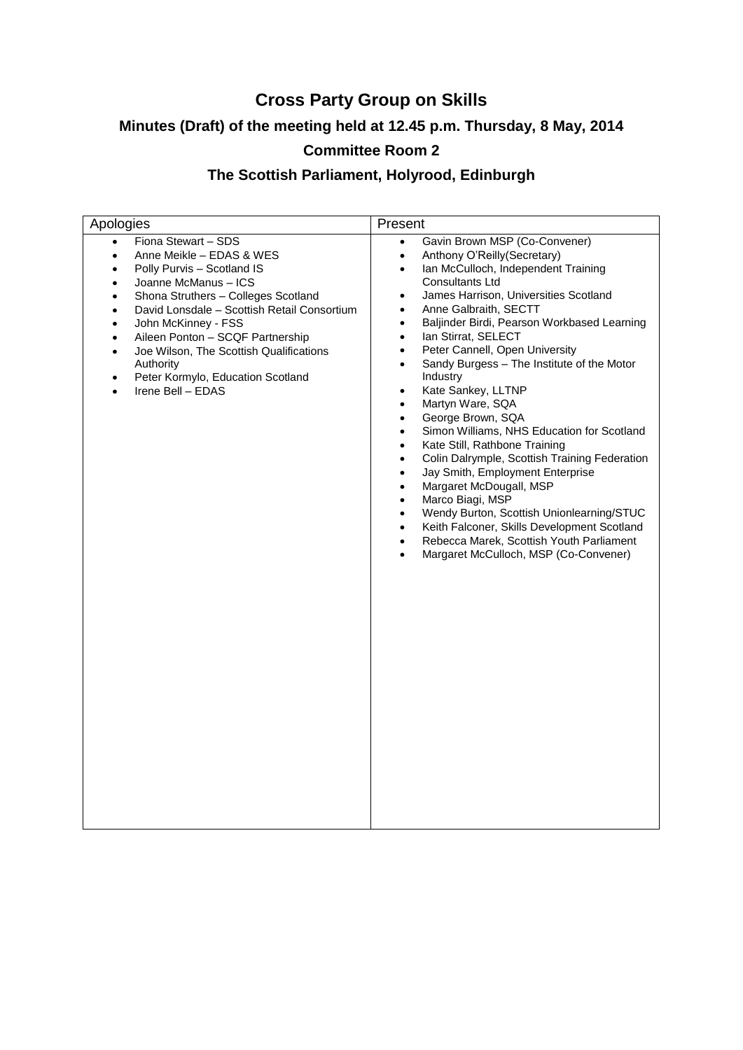# **Cross Party Group on Skills**

# **Minutes (Draft) of the meeting held at 12.45 p.m. Thursday, 8 May, 2014**

## **Committee Room 2**

## **The Scottish Parliament, Holyrood, Edinburgh**

| Apologies                                                                                                                                                                                                                                                                                                                                                                                                                                                                        | Present                                                                                                                                                                                                                                                                                                                                                                                                                                                                                                                                                                                                                                                                                                                                                                                                                                                                                                                                                                                                                                                                                                                            |
|----------------------------------------------------------------------------------------------------------------------------------------------------------------------------------------------------------------------------------------------------------------------------------------------------------------------------------------------------------------------------------------------------------------------------------------------------------------------------------|------------------------------------------------------------------------------------------------------------------------------------------------------------------------------------------------------------------------------------------------------------------------------------------------------------------------------------------------------------------------------------------------------------------------------------------------------------------------------------------------------------------------------------------------------------------------------------------------------------------------------------------------------------------------------------------------------------------------------------------------------------------------------------------------------------------------------------------------------------------------------------------------------------------------------------------------------------------------------------------------------------------------------------------------------------------------------------------------------------------------------------|
| Fiona Stewart - SDS<br>$\bullet$<br>Anne Meikle - EDAS & WES<br>$\bullet$<br>Polly Purvis - Scotland IS<br>Joanne McManus - ICS<br>Shona Struthers - Colleges Scotland<br>$\bullet$<br>David Lonsdale - Scottish Retail Consortium<br>$\bullet$<br>John McKinney - FSS<br>$\bullet$<br>Aileen Ponton - SCQF Partnership<br>$\bullet$<br>Joe Wilson, The Scottish Qualifications<br>$\bullet$<br>Authority<br>Peter Kormylo, Education Scotland<br>$\bullet$<br>Irene Bell - EDAS | Gavin Brown MSP (Co-Convener)<br>$\bullet$<br>Anthony O'Reilly(Secretary)<br>$\bullet$<br>Ian McCulloch, Independent Training<br>$\bullet$<br><b>Consultants Ltd</b><br>James Harrison, Universities Scotland<br>$\bullet$<br>Anne Galbraith, SECTT<br>$\bullet$<br>Baljinder Birdi, Pearson Workbased Learning<br>$\bullet$<br>Ian Stirrat, SELECT<br>$\bullet$<br>Peter Cannell, Open University<br>$\bullet$<br>Sandy Burgess - The Institute of the Motor<br>$\bullet$<br>Industry<br>Kate Sankey, LLTNP<br>$\bullet$<br>Martyn Ware, SQA<br>$\bullet$<br>George Brown, SQA<br>$\bullet$<br>Simon Williams, NHS Education for Scotland<br>$\bullet$<br>Kate Still, Rathbone Training<br>$\bullet$<br>Colin Dalrymple, Scottish Training Federation<br>$\bullet$<br>Jay Smith, Employment Enterprise<br>$\bullet$<br>Margaret McDougall, MSP<br>$\bullet$<br>Marco Biagi, MSP<br>$\bullet$<br>Wendy Burton, Scottish Unionlearning/STUC<br>$\bullet$<br>Keith Falconer, Skills Development Scotland<br>$\bullet$<br>Rebecca Marek, Scottish Youth Parliament<br>$\bullet$<br>Margaret McCulloch, MSP (Co-Convener)<br>$\bullet$ |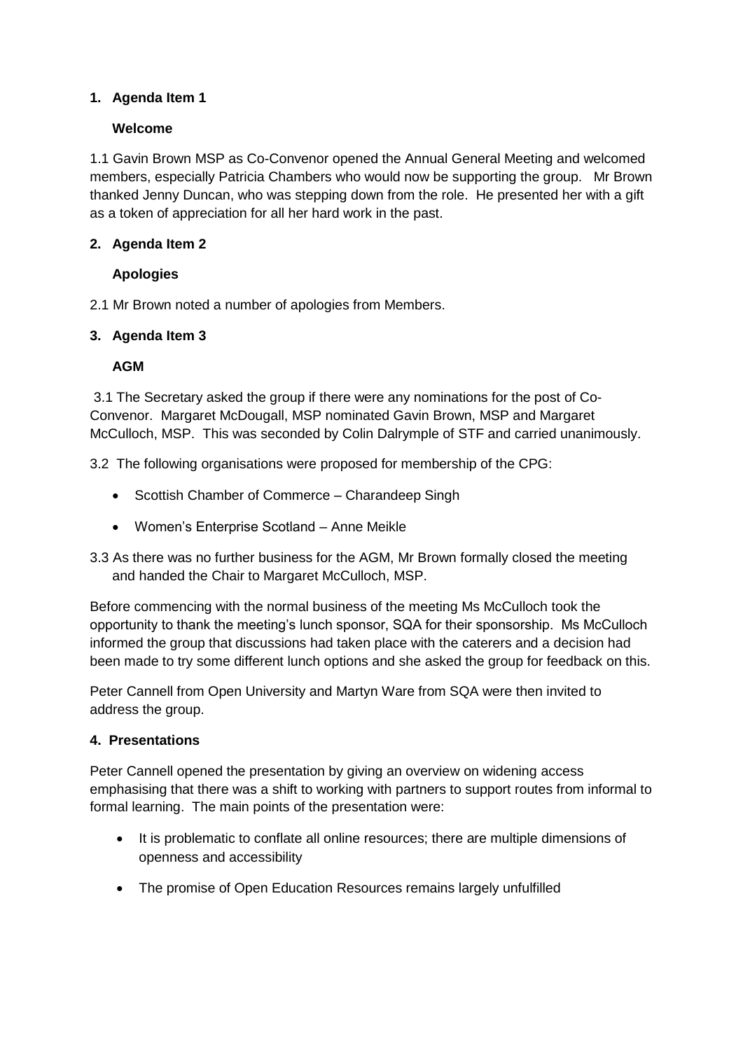## **1. Agenda Item 1**

### **Welcome**

1.1 Gavin Brown MSP as Co-Convenor opened the Annual General Meeting and welcomed members, especially Patricia Chambers who would now be supporting the group. Mr Brown thanked Jenny Duncan, who was stepping down from the role. He presented her with a gift as a token of appreciation for all her hard work in the past.

### **2. Agenda Item 2**

## **Apologies**

2.1 Mr Brown noted a number of apologies from Members.

#### **3. Agenda Item 3**

#### **AGM**

3.1 The Secretary asked the group if there were any nominations for the post of Co-Convenor. Margaret McDougall, MSP nominated Gavin Brown, MSP and Margaret McCulloch, MSP. This was seconded by Colin Dalrymple of STF and carried unanimously.

3.2 The following organisations were proposed for membership of the CPG:

- Scottish Chamber of Commerce Charandeep Singh
- Women's Enterprise Scotland Anne Meikle
- 3.3 As there was no further business for the AGM, Mr Brown formally closed the meeting and handed the Chair to Margaret McCulloch, MSP.

Before commencing with the normal business of the meeting Ms McCulloch took the opportunity to thank the meeting's lunch sponsor, SQA for their sponsorship. Ms McCulloch informed the group that discussions had taken place with the caterers and a decision had been made to try some different lunch options and she asked the group for feedback on this.

Peter Cannell from Open University and Martyn Ware from SQA were then invited to address the group.

#### **4. Presentations**

Peter Cannell opened the presentation by giving an overview on widening access emphasising that there was a shift to working with partners to support routes from informal to formal learning. The main points of the presentation were:

- It is problematic to conflate all online resources; there are multiple dimensions of openness and accessibility
- The promise of Open Education Resources remains largely unfulfilled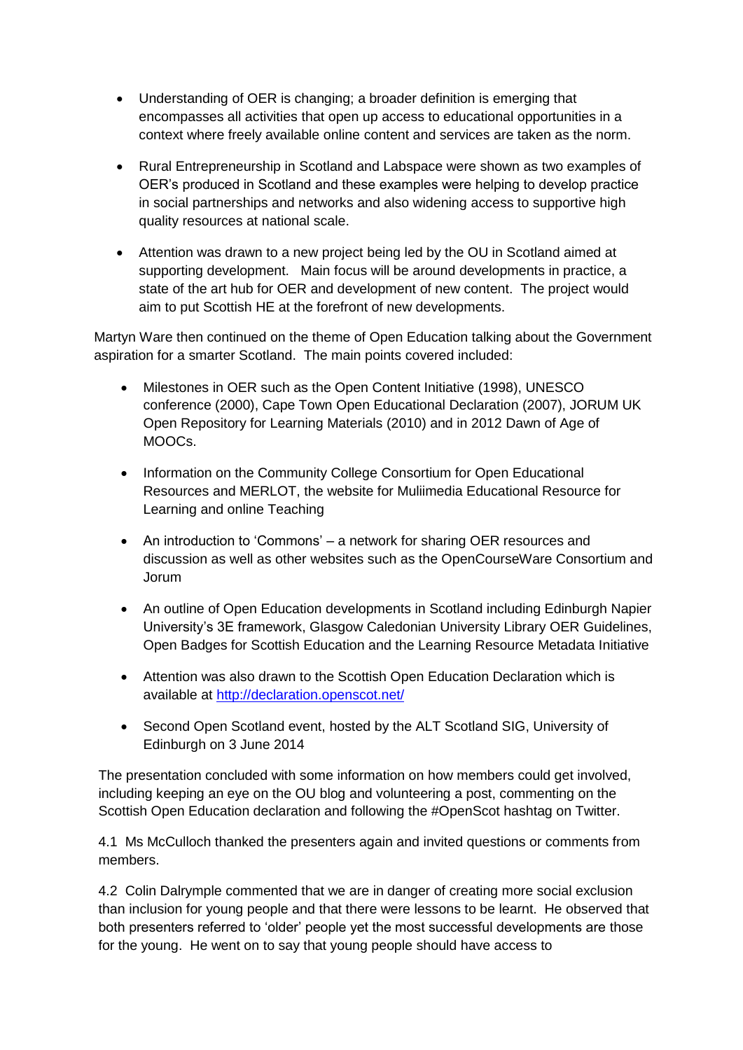- Understanding of OER is changing; a broader definition is emerging that encompasses all activities that open up access to educational opportunities in a context where freely available online content and services are taken as the norm.
- Rural Entrepreneurship in Scotland and Labspace were shown as two examples of OER's produced in Scotland and these examples were helping to develop practice in social partnerships and networks and also widening access to supportive high quality resources at national scale.
- Attention was drawn to a new project being led by the OU in Scotland aimed at supporting development. Main focus will be around developments in practice, a state of the art hub for OER and development of new content. The project would aim to put Scottish HE at the forefront of new developments.

Martyn Ware then continued on the theme of Open Education talking about the Government aspiration for a smarter Scotland. The main points covered included:

- Milestones in OER such as the Open Content Initiative (1998), UNESCO conference (2000), Cape Town Open Educational Declaration (2007), JORUM UK Open Repository for Learning Materials (2010) and in 2012 Dawn of Age of MOOCs.
- Information on the Community College Consortium for Open Educational Resources and MERLOT, the website for Muliimedia Educational Resource for Learning and online Teaching
- An introduction to 'Commons' a network for sharing OER resources and discussion as well as other websites such as the OpenCourseWare Consortium and Jorum
- An outline of Open Education developments in Scotland including Edinburgh Napier University's 3E framework, Glasgow Caledonian University Library OER Guidelines, Open Badges for Scottish Education and the Learning Resource Metadata Initiative
- Attention was also drawn to the Scottish Open Education Declaration which is available at<http://declaration.openscot.net/>
- Second Open Scotland event, hosted by the ALT Scotland SIG, University of Edinburgh on 3 June 2014

The presentation concluded with some information on how members could get involved, including keeping an eye on the OU blog and volunteering a post, commenting on the Scottish Open Education declaration and following the #OpenScot hashtag on Twitter.

4.1 Ms McCulloch thanked the presenters again and invited questions or comments from members.

4.2 Colin Dalrymple commented that we are in danger of creating more social exclusion than inclusion for young people and that there were lessons to be learnt. He observed that both presenters referred to 'older' people yet the most successful developments are those for the young. He went on to say that young people should have access to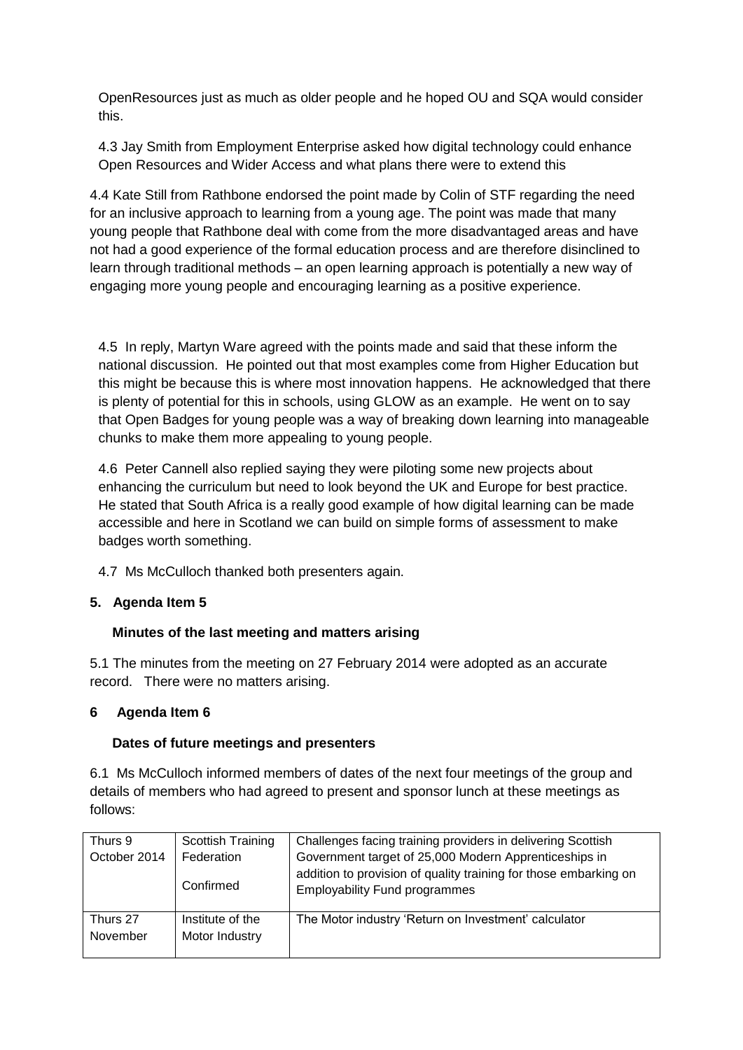OpenResources just as much as older people and he hoped OU and SQA would consider this.

4.3 Jay Smith from Employment Enterprise asked how digital technology could enhance Open Resources and Wider Access and what plans there were to extend this

4.4 Kate Still from Rathbone endorsed the point made by Colin of STF regarding the need for an inclusive approach to learning from a young age. The point was made that many young people that Rathbone deal with come from the more disadvantaged areas and have not had a good experience of the formal education process and are therefore disinclined to learn through traditional methods – an open learning approach is potentially a new way of engaging more young people and encouraging learning as a positive experience.

4.5 In reply, Martyn Ware agreed with the points made and said that these inform the national discussion. He pointed out that most examples come from Higher Education but this might be because this is where most innovation happens. He acknowledged that there is plenty of potential for this in schools, using GLOW as an example. He went on to say that Open Badges for young people was a way of breaking down learning into manageable chunks to make them more appealing to young people.

4.6 Peter Cannell also replied saying they were piloting some new projects about enhancing the curriculum but need to look beyond the UK and Europe for best practice. He stated that South Africa is a really good example of how digital learning can be made accessible and here in Scotland we can build on simple forms of assessment to make badges worth something.

4.7 Ms McCulloch thanked both presenters again.

## **5. Agenda Item 5**

## **Minutes of the last meeting and matters arising**

5.1 The minutes from the meeting on 27 February 2014 were adopted as an accurate record. There were no matters arising.

#### **6 Agenda Item 6**

#### **Dates of future meetings and presenters**

6.1 Ms McCulloch informed members of dates of the next four meetings of the group and details of members who had agreed to present and sponsor lunch at these meetings as follows:

| Thurs 9              | Scottish Training                  | Challenges facing training providers in delivering Scottish                                                                                                       |
|----------------------|------------------------------------|-------------------------------------------------------------------------------------------------------------------------------------------------------------------|
| October 2014         | Federation<br>Confirmed            | Government target of 25,000 Modern Apprenticeships in<br>addition to provision of quality training for those embarking on<br><b>Employability Fund programmes</b> |
| Thurs 27<br>November | Institute of the<br>Motor Industry | The Motor industry 'Return on Investment' calculator                                                                                                              |